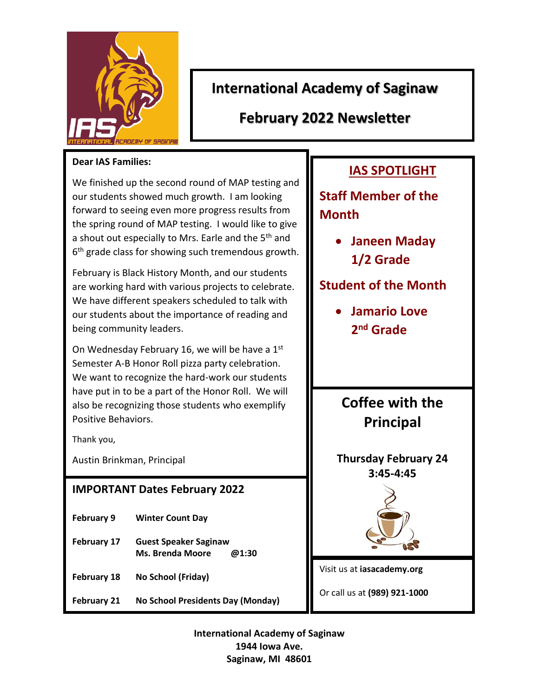

## **International Academy of Saginaw**

**February 2022 Newsletter**

#### **Dear IAS Families:**

We finished up the second round of MAP testing and our students showed much growth. I am looking forward to seeing even more progress results from the spring round of MAP testing. I would like to give a shout out especially to Mrs. Earle and the 5<sup>th</sup> and 6<sup>th</sup> grade class for showing such tremendous growth.

February is Black History Month, and our students are working hard with various projects to celebrate. We have different speakers scheduled to talk with our students about the importance of reading and being community leaders.

On Wednesday February 16, we will be have a  $1<sup>st</sup>$ Semester A-B Honor Roll pizza party celebration. We want to recognize the hard-work our students have put in to be a part of the Honor Roll. We will also be recognizing those students who exemplify Positive Behaviors.

Thank you,

Austin Brinkman, Principal

### **IMPORTANT Dates February 2022**

- **February 9 Winter Count Day**
- **February 17 Guest Speaker Saginaw Ms. Brenda Moore @1:30**
- **February 18 No School (Friday)**
- **February 21 No School Presidents Day (Monday)**

## **IAS SPOTLIGHT**

**Staff Member of the Month**

> **Janeen Maday 1/2 Grade**

### **Student of the Month**

 **Jamario Love 2 nd Grade**

# **Coffee with the Principal**

**Thursday February 24 3:45-4:45**



Visit us at **iasacademy.org**

Or call us at **(989) 921-1000**

**International Academy of Saginaw 1944 Iowa Ave. Saginaw, MI 48601**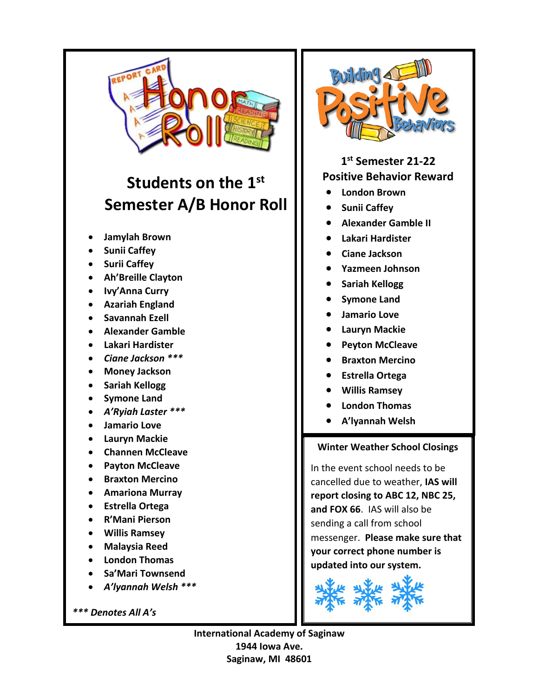

# **Students on the 1st Semester A/B Honor Roll**

- **Jamylah Brown**
- **Sunii Caffey**
- **•** Surii Caffey
- **Ah'Breille Clayton**
- **Ivy'Anna Curry**
- **Azariah England**
- **Savannah Ezell**
- **Alexander Gamble**
- **Lakari Hardister**
- *Ciane Jackson \*\*\**
- **Money Jackson**
- **•** Sariah Kellogg
- **Symone Land**
- *A'Ryiah Laster \*\*\**
- **Jamario Love**
- **Lauryn Mackie**
- **Channen McCleave**
- **Payton McCleave**
- **Braxton Mercino**
- **Amariona Murray**
- **Estrella Ortega**
- **R'Mani Pierson**
- **Willis Ramsey**
- **Malaysia Reed**
- **London Thomas**
- **Sa'Mari Townsend**
- *A'lyannah Welsh \*\*\**

*\*\*\* Denotes All A's* 



**1 st Semester 21-22 Positive Behavior Reward**

- **London Brown**
- **•** Sunii Caffey
- **Alexander Gamble II**
- **Lakari Hardister**
- **Ciane Jackson**
- **Yazmeen Johnson**
- **Sariah Kellogg**
- **Symone Land**
- **Jamario Love**
- **Lauryn Mackie**
- **Peyton McCleave**
- **Braxton Mercino**
- **Estrella Ortega**
- **Willis Ramsey**
- **London Thomas**
- **A'lyannah Welsh**

#### ۹ **Winter Weather School Closings**

In the event school needs to be cancelled due to weather, **IAS will report closing to ABC 12, NBC 25, and FOX 66**. IAS will also be sending a call from school messenger. **Please make sure that your correct phone number is updated into our system.**



**International Academy of Saginaw 1944 Iowa Ave. Saginaw, MI 48601**